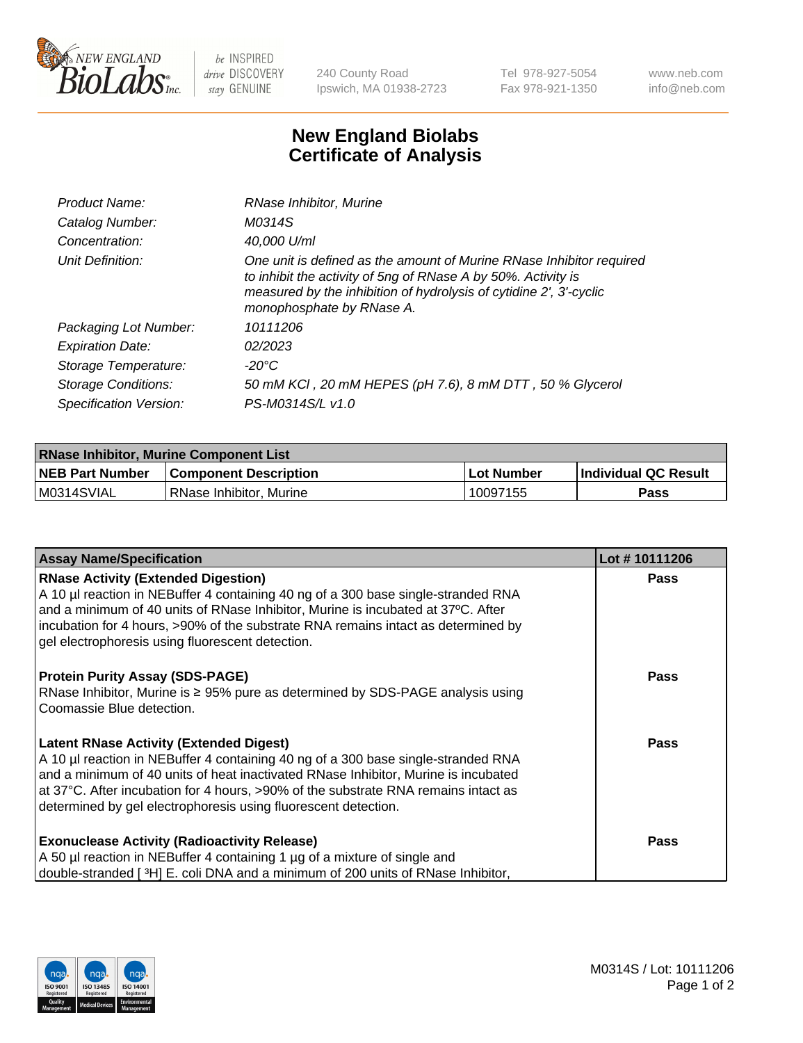

 $be$  INSPIRED drive DISCOVERY stay GENUINE

240 County Road Ipswich, MA 01938-2723 Tel 978-927-5054 Fax 978-921-1350 www.neb.com info@neb.com

## **New England Biolabs Certificate of Analysis**

| Product Name:           | RNase Inhibitor, Murine                                                                                                                                                                                                                  |
|-------------------------|------------------------------------------------------------------------------------------------------------------------------------------------------------------------------------------------------------------------------------------|
| Catalog Number:         | M0314S                                                                                                                                                                                                                                   |
| Concentration:          | 40,000 U/ml                                                                                                                                                                                                                              |
| Unit Definition:        | One unit is defined as the amount of Murine RNase Inhibitor required<br>to inhibit the activity of 5ng of RNase A by 50%. Activity is<br>measured by the inhibition of hydrolysis of cytidine 2', 3'-cyclic<br>monophosphate by RNase A. |
| Packaging Lot Number:   | 10111206                                                                                                                                                                                                                                 |
| <b>Expiration Date:</b> | 02/2023                                                                                                                                                                                                                                  |
| Storage Temperature:    | -20°C                                                                                                                                                                                                                                    |
| Storage Conditions:     | 50 mM KCI, 20 mM HEPES (pH 7.6), 8 mM DTT, 50 % Glycerol                                                                                                                                                                                 |
| Specification Version:  | PS-M0314S/L v1.0                                                                                                                                                                                                                         |

| <b>RNase Inhibitor, Murine Component List</b> |                              |                   |                             |  |  |
|-----------------------------------------------|------------------------------|-------------------|-----------------------------|--|--|
| <b>NEB Part Number</b>                        | <b>Component Description</b> | <b>Lot Number</b> | <b>Individual QC Result</b> |  |  |
| M0314SVIAL                                    | l RNase Inhibitor. Murine    | 10097155          | <b>Pass</b>                 |  |  |

| <b>Assay Name/Specification</b>                                                                                                                                                                                                                                                                                                                                                   | Lot #10111206 |
|-----------------------------------------------------------------------------------------------------------------------------------------------------------------------------------------------------------------------------------------------------------------------------------------------------------------------------------------------------------------------------------|---------------|
| <b>RNase Activity (Extended Digestion)</b><br>A 10 µl reaction in NEBuffer 4 containing 40 ng of a 300 base single-stranded RNA<br>and a minimum of 40 units of RNase Inhibitor, Murine is incubated at 37°C. After<br>incubation for 4 hours, >90% of the substrate RNA remains intact as determined by<br>gel electrophoresis using fluorescent detection.                      | Pass          |
| <b>Protein Purity Assay (SDS-PAGE)</b><br>RNase Inhibitor, Murine is ≥ 95% pure as determined by SDS-PAGE analysis using<br>Coomassie Blue detection.                                                                                                                                                                                                                             | Pass          |
| <b>Latent RNase Activity (Extended Digest)</b><br>A 10 µl reaction in NEBuffer 4 containing 40 ng of a 300 base single-stranded RNA<br>and a minimum of 40 units of heat inactivated RNase Inhibitor, Murine is incubated<br>at 37°C. After incubation for 4 hours, >90% of the substrate RNA remains intact as<br>determined by gel electrophoresis using fluorescent detection. | Pass          |
| <b>Exonuclease Activity (Radioactivity Release)</b><br>A 50 µl reaction in NEBuffer 4 containing 1 µg of a mixture of single and<br>double-stranded [3H] E. coli DNA and a minimum of 200 units of RNase Inhibitor,                                                                                                                                                               | <b>Pass</b>   |